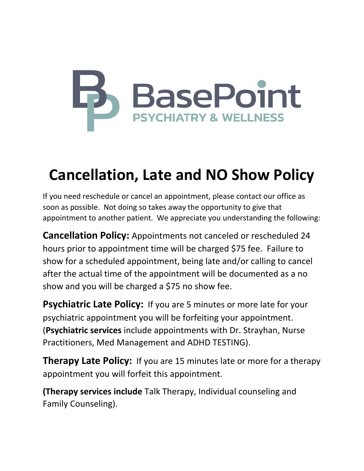## **S** BasePoint **PSYCHIATRY & WELLNESS**

## **Cancellation, Late and NO Show Policy**

If you need reschedule or cancel an appointment, please contact our office as soon as possible. Not doing so takes away the opportunity to give that appointment to another patient. We appreciate you understanding the following:

**Cancellation Policy:** Appointments not canceled or rescheduled 24 hours prior to appointment time will be charged \$75 fee. Failure to show for a scheduled appointment, being late and/or calling to cancel after the actual time of the appointment will be documented as a no show and you will be charged a \$75 no show fee.

**Psychiatric Late Policy:** If you are 5 minutes or more late for your psychiatric appointment you will be forfeiting your appointment. (**Psychiatric services** include appointments with Dr. Strayhan, Nurse Practitioners, Med Management and ADHD TESTING).

**Therapy Late Policy:** If you are 15 minutes late or more for a therapy appointment you will forfeit this appointment.

**(Therapy services include** Talk Therapy, Individual counseling and Family Counseling).